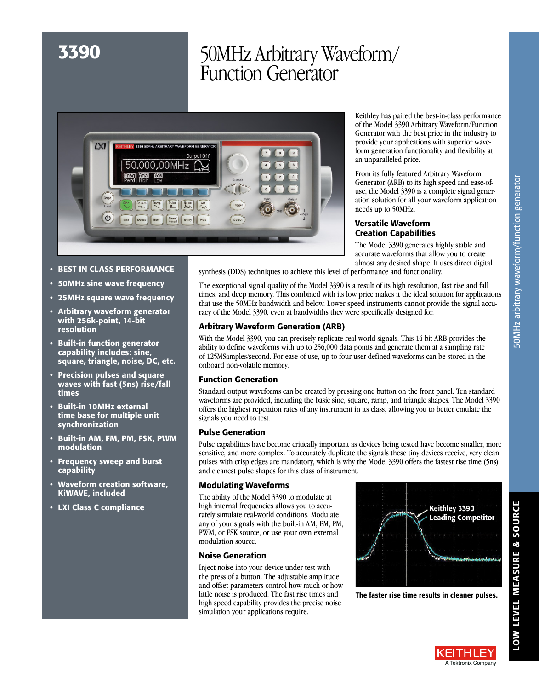# 3390 50MHz Arbitrary Waveform/ Function Generator



Keithley has paired the best-in-class performance of the Model 3390 Arbitrary Waveform/Function Generator with the best price in the industry to provide your applications with superior waveform generation functionality and flexibility at an unparalleled price.

From its fully featured Arbitrary Waveform Generator (ARB) to its high speed and ease-ofuse, the Model 3390 is a complete signal generation solution for all your waveform application needs up to 50MHz.

# Versatile Waveform Creation Capabilities

The Model 3390 generates highly stable and accurate waveforms that allow you to create almost any desired shape. It uses direct digital

- BEST IN CLASS PERFORMANCE
- 50MHz sine wave frequency
- 25MHz square wave frequency
- Arbitrary waveform generator with 256k-point, 14-bit resolution
- Built-in function generator capability includes: sine, square, triangle, noise, DC, etc.
- Precision pulses and square waves with fast (5ns) rise/fall times
- Built-in 10MHz external time base for multiple unit synchronization
- Built-in AM, FM, PM, FSK, PWM modulation
- Frequency sweep and burst capability
- Waveform creation software, KiWAVE, included
- LXI Class C compliance

synthesis (DDS) techniques to achieve this level of performance and functionality.

The exceptional signal quality of the Model 3390 is a result of its high resolution, fast rise and fall times, and deep memory. This combined with its low price makes it the ideal solution for applications that use the 50MHz bandwidth and below. Lower speed instruments cannot provide the signal accuracy of the Model 3390, even at bandwidths they were specifically designed for.

# Arbitrary Waveform Generation (ARB)

With the Model 3390, you can precisely replicate real world signals. This 14-bit ARB provides the ability to define waveforms with up to 256,000 data points and generate them at a sampling rate of 125MSamples/second. For ease of use, up to four user-defined waveforms can be stored in the onboard non-volatile memory.

# Function Generation

Standard output waveforms can be created by pressing one button on the front panel. Ten standard waveforms are provided, including the basic sine, square, ramp, and triangle shapes. The Model 3390 offers the highest repetition rates of any instrument in its class, allowing you to better emulate the signals you need to test.

# Pulse Generation

Pulse capabilities have become critically important as devices being tested have become smaller, more sensitive, and more complex. To accurately duplicate the signals these tiny devices receive, very clean pulses with crisp edges are mandatory, which is why the Model 3390 offers the fastest rise time (5ns) and cleanest pulse shapes for this class of instrument.

# Modulating Waveforms

The ability of the Model 3390 to modulate at high internal frequencies allows you to accurately simulate real-world conditions. Modulate any of your signals with the built-in AM, FM, PM, PWM, or FSK source, or use your own external modulation source.

## Noise Generation

Inject noise into your device under test with the press of a button. The adjustable amplitude and offset parameters control how much or how little noise is produced. The fast rise times and high speed capability provides the precise noise simulation your applications require.



The faster rise time results in cleaner pulses.

LOW LEVEL MEASURE & SOURCE

LOW LEVEL MEASURE & SOURCE

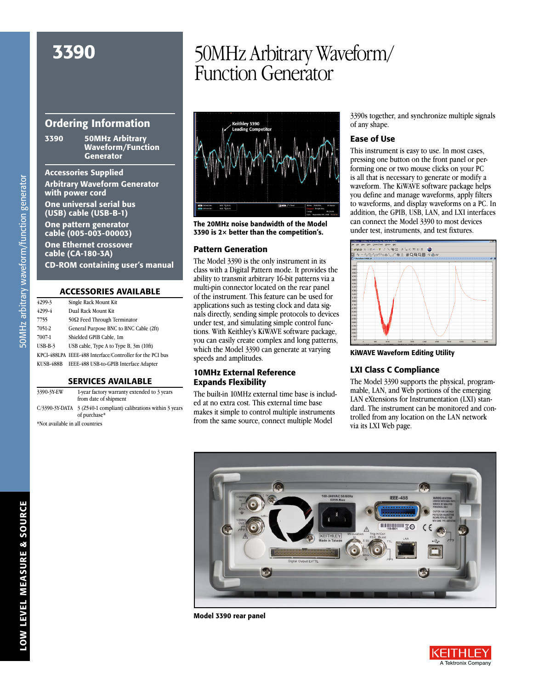# Ordering Information

3390 50MHz Arbitrary Waveform/Function Generator

Accessories Supplied Arbitrary Waveform Generator with power cord

One universal serial bus (USB) cable (USB-B-1)

One pattern generator cable (005-003-00003)

One Ethernet crossover cable (CA-180-3A)

CD-ROM containing user's manual

#### ACCESSORIES AVAILABLE

| 4299-3           | Single Rack Mount Kit                                     |
|------------------|-----------------------------------------------------------|
| 4299-4           | Dual Rack Mount Kit                                       |
| 7755             | $50\Omega$ Feed Through Terminator                        |
| 7051-2           | General Purpose BNC to BNC Cable (2ft)                    |
| 7007-1           | Shielded GPIB Cable, 1m                                   |
| $USB-B-3$        | USB cable, Type A to Type B, 3m (10ft)                    |
|                  | KPCI-488LPA IEEE-488 Interface/Controller for the PCI bus |
| <b>KUSB-488B</b> | IEEE-488 USB-to-GPIB Interface Adapter                    |
|                  |                                                           |

### SERVICES AVAILABLE

| 3390-3Y-EW                      | 1-year factory warranty extended to 3 years<br>from date of shipment            |
|---------------------------------|---------------------------------------------------------------------------------|
|                                 | C/3390-3Y-DATA 3 (Z540-1 compliant) calibrations within 3 years<br>of purchase* |
| *Not available in all countries |                                                                                 |

# 3390 50MHz Arbitrary Waveform/ Function Generator



The 20MHz noise bandwidth of the Model 3390 is 2× better than the competition's.

#### Pattern Generation

The Model 3390 is the only instrument in its class with a Digital Pattern mode. It provides the ability to transmit arbitrary 16-bit patterns via a multi-pin connector located on the rear panel of the instrument. This feature can be used for applications such as testing clock and data signals directly, sending simple protocols to devices under test, and simulating simple control functions. With Keithley's KiWAVE software package, you can easily create complex and long patterns, which the Model 3390 can generate at varying speeds and amplitudes.

## 10MHz External Reference Expands Flexibility

The built-in 10MHz external time base is included at no extra cost. This external time base makes it simple to control multiple instruments from the same source, connect multiple Model

3390s together, and synchronize multiple signals of any shape.

### Ease of Use

This instrument is easy to use. In most cases, pressing one button on the front panel or performing one or two mouse clicks on your PC is all that is necessary to generate or modify a waveform. The KiWAVE software package helps you define and manage waveforms, apply filters to waveforms, and display waveforms on a PC. In addition, the GPIB, USB, LAN, and LXI interfaces can connect the Model 3390 to most devices under test, instruments, and test fixtures.



KiWAVE Waveform Editing Utility

#### LXI Class C Compliance

The Model 3390 supports the physical, programmable, LAN, and Web portions of the emerging LAN eXtensions for Instrumentation (LXI) standard. The instrument can be monitored and controlled from any location on the LAN network via its LXI Web page.



Model 3390 rear panel

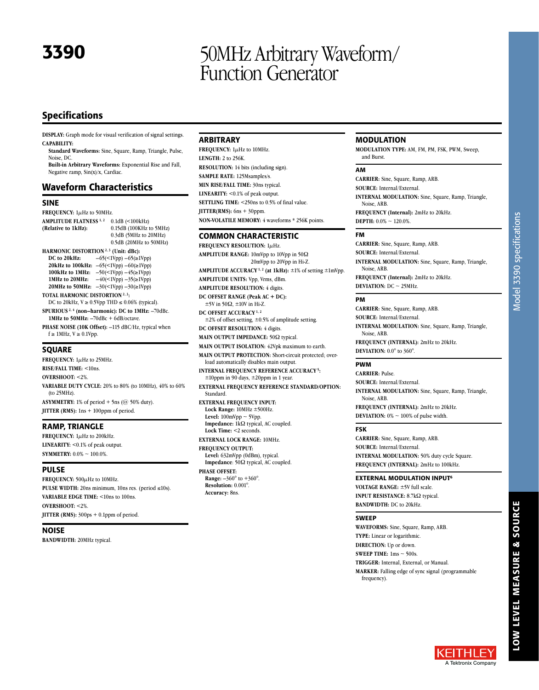# 3390 50MHz Arbitrary Waveform/ Function Generator

# Specifications

**DISPLAY:** Graph mode for visual verification of signal settings. **CAPABILITY:**

**Standard Waveforms:** Sine, Square, Ramp, Triangle, Pulse, Noise, DC.

**Built-in Arbitrary Waveforms:** Exponential Rise and Fall, Negative ramp, Sin(x)/x, Cardiac.

## Waveform Characteristics

#### SINE

FREQUENCY: 1µHz to 50MHz. **AMPLITUDE FLATNESS** <sup>1, 2</sup> 0.1dB (<100kHz)<br>(**Relative to 1kHz**): 0.15dB (100KHz t **(Relative to 1kHz):** 0.15dB (100KHz to 5MHz) 0.3dB (5MHz to 20MHz) 0.5dB (20MHz to 50MHz) **HARMONIC DISTORTION** <sup>2, 3</sup> (Unit: dBc):<br>DC to 20kHz:  $-65 \le \text{1Vpp}$ )  $-65 \le 1$ **DC to 20kHz:** –65(<1Vpp) –65(≥1Vpp) **20kHz to 100kHz:**  $-65 \times 1 \text{Vpp} - 60 \times 1 \text{Vpp}$ **100kHz to 1MHz:** –50(<1Vpp) –45(≥1Vpp) **1MHz to 20MHz:** –40(<1Vpp) –35(≥1Vpp) **20MHz to 50MHz:** –30(<1Vpp) –30(≥1Vpp) **TOTAL HARMONIC DISTORTION 2, 3:** DC to 20kHz,  $V \ge 0.5Vpp$  THD  $\le 0.06\%$  (typical). **SPURIOUS 2, 4 (non–harmonic): DC to 1MHz:** –70dBc. **1MHz to 50MHz:** –70dBc + 6dB/octave.

**PHASE NOISE (10K Offset):** –115 dBC/Hz, typical when f ≥ 1MHz, V ≥ 0.1Vpp.

#### SQUARE

**FREQUENCY:** 1µHz to 25MHz. **RISE/FALL TIME:** <10ns. **OVERSHOOT:** <2%. **VARIABLE DUTY CYCLE:** 20% to 80% (to 10MHz), 40% to 60% (to 25MHz). **ASYMMETRY:** 1% of period + 5ns (@ 50% duty). **JITTER (RMS):** 1ns + 100ppm of period.

#### RAMP, TRIANGLE

FREQUENCY: 1µHz to 200kHz. **LINEARITY:** <0.1% of peak output. **SYMMETRY:** 0.0% ~ 100.0%.

#### PULSE

FREQUENCY: 500 $\mu$ Hz to 10MHz. **PULSE WIDTH:** 20ns minimum, 10ns res. (period ≤10s). **VARIABLE EDGE TIME:** <10ns to 100ns. **OVERSHOOT:** <2%. **JITTER (RMS):** 300ps + 0.1ppm of period.

## NOISE

**BANDWIDTH:** 20MHz typical.

#### ARBITRARY

**Accuracy:** 8ns.

**FREQUENCY:** 1µHz to 10MHz. **LENGTH:** 2 to 256K. **RESOLUTION:** 14 bits (including sign). **SAMPLE RATE:** 125Msamples/s. **MIN RISE/FALL TIME:** 30ns typical. LINEARITY: <0.1% of peak output. **SETTLING TIME:** <250ns to 0.5% of final value. **JITTER(RMS):** 6ns + 30ppm. **NON-VOLATILE MEMORY:** 4 waveforms \* 256K points.

#### COMMON CHARACTERISTIC

**FREQUENCY RESOLUTION:** 1µHz. **AMPLITUDE RANGE:** 10mVpp to 10Vpp in 50Ω 20mVpp to 20Vpp in Hi-Z. **AMPLITUDE ACCURACY 1, 2 (at 1kHz):** ±1% of setting ±1mVpp. **AMPLITUDE UNITS:** Vpp, Vrms, dBm. **AMPLITUDE RESOLUTION:** 4 digits. **DC OFFSET RANGE (Peak AC + DC):**  $±5V$  in 50 $\Omega$ ,  $±10V$  in Hi-Z. **DC OFFSET ACCURACY 1, 2**  $\pm 2\%$  of offset setting,  $\pm 0.5\%$  of amplitude setting. **DC OFFSET RESOLUTION:** 4 digits. **MAIN OUTPUT IMPEDANCE: 50** $\Omega$  **typical. MAIN OUTPUT ISOLATION:** 42Vpk maximum to earth. **MAIN OUTPUT PROTECTION:** Short-circuit protected; overload automatically disables main output. **INTERNAL FREQUENCY REFERENCE ACCURACY 5:**  $±10$ ppm in 90 days,  $±20$ ppm in 1 year. **EXTERNAL FREQUENCY REFERENCE STANDARD/OPTION:** Standard. **EXTERNAL FREQUENCY INPUT: Lock Range:** 10MHz ±500Hz. **Level:** 100mVpp ~ 5Vpp. Impedance: 1k $\Omega$  typical, AC coupled. **Lock Time:** <2 seconds. **EXTERNAL LOCK RANGE:** 10MHz. **FREQUENCY OUTPUT: Level:** 632mVpp (0dBm), typical. Impedance: 50 $\Omega$  typical, AC coupled. **PHASE OFFSET: Range:** –360° to +360°. **Resolution:** 0.001°.

MODULATION

**MODULATION TYPE:** AM, FM, PM, FSK, PWM, Sweep, and Burst.

#### AM

**CARRIER:** Sine, Square, Ramp, ARB. **SOURCE:** Internal/External. **INTERNAL MODULATION:** Sine, Square, Ramp, Triangle, Noise, ARB. **FREQUENCY (Internal):** 2mHz to 20kHz. **DEPTH:** 0.0% ~ 120.0%.

### FM

**CARRIER:** Sine, Square, Ramp, ARB. **SOURCE:** Internal/External. **INTERNAL MODULATION:** Sine, Square, Ramp, Triangle, Noise, ARB. **FREQUENCY (Internal):** 2mHz to 20kHz. **DEVIATION:**  $DC \sim 25MHz$ .

#### PM

**CARRIER:** Sine, Square, Ramp, ARB. **SOURCE:** Internal/External. **INTERNAL MODULATION:** Sine, Square, Ramp, Triangle, Noise, ARB. **FREQUENCY (INTERNAL):** 2mHz to 20kHz. **DEVIATION:** 0.0° to 360°.

#### PWM

**CARRIER:** Pulse.

**SOURCE:** Internal/External. **INTERNAL MODULATION:** Sine, Square, Ramp, Triangle, Noise, ARB. **FREQUENCY (INTERNAL):** 2mHz to 20kHz.

**DEVIATION:**  $0\% \sim 100\%$  of pulse width.

### FSK

**CARRIER:** Sine, Square, Ramp, ARB. **SOURCE:** Internal/External. **INTERNAL MODULATION: 50% duty cycle Square. FREQUENCY (INTERNAL):** 2mHz to 100kHz.

#### EXTERNAL MODULATION INPUT6

**VOLTAGE RANGE:** ±5V full scale. **INPUT RESISTANCE:** 8.7kΩ typical. **BANDWIDTH:** DC to 20kHz.

#### SWEEP

**WAVEFORMS:** Sine, Square, Ramp, ARB. **TYPE:** Linear or logarithmic. **DIRECTION:** Up or down. **SWEEP TIME:** 1ms ~ 500s. **TRIGGER:** Internal, External, or Manual. **MARKER:** Falling edge of sync signal (programmable frequency).

LOW LEVEL MEASURE & SOURCE LOW LEVEL MEASURE & SOURCE

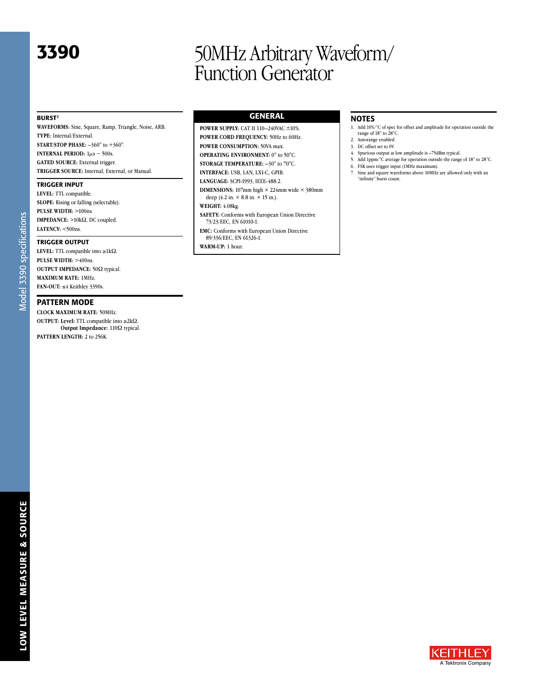# 3390 50MHz Arbitrary Waveform/ Function Generator

#### BURST7

**WAVEFORMS:** Sine, Square, Ramp, Triangle, Noise, ARB. **TYPE:** Internal/External. **START/STOP PHASE:** –360° to +360°. **INTERNAL PERIOD:**  $1\mu s \sim 500s$ . **GATED SOURCE:** External trigger. **TRIGGER SOURCE:** Internal, External, or Manual.

#### TRIGGER INPUT

**LEVEL:** TTL compatible. **SLOPE:** Rising or falling (selectable). **PULSE WIDTH:** >100ns. **IMPEDANCE:**  $>10k\Omega$ , DC coupled. **LATENCY:** <500ns.

#### TRIGGER OUTPUT

Model 3390 specifications Model 3390 specifications

**LEVEL:** TTL compatible into  $\geq 1 \text{k}\Omega$ . **PULSE WIDTH:** >400ns. **OUTPUT IMPEDANCE: 50** $\Omega$  **typical. MAXIMUM RATE:** 1MHz. **FAN-OUT:** ≤4 Keithley 3390s.

#### PATTERN MODE

**CLOCK MAXIMUM RATE:** 50MHz. **OUTPUT:** Level: TTL compatible into  $\geq 2k\Omega$ . **Output Impedance:** 110Ω typical. **PATTERN LENGTH: 2 to 256K.** 

GENERAL

**POWER SUPPLY:** CAT II 110–240VAC ±10%. **POWER CORD FREQUENCY:** 50Hz to 60Hz. **POWER CONSUMPTION:** 50VA max. **OPERATING ENVIRONMENT:** 0° to 50°C. **STORAGE TEMPERATURE:** –30° to 70°C.

**INTERFACE:** USB, LAN, LXI-C, GPIB. **LANGUAGE:** SCPI-1993, IEEE-488.2.

**DIMENSIONS:** 107mm high  $\times$  224mm wide  $\times$  380mm deep (4.2 in.  $\times$  8.8 in.  $\times$  15 in.).

#### **WEIGHT:** 4.08kg.

**SAFETY:** Conforms with European Union Directive 73/23/EEC, EN 61010-1.

**EMC:** Conforms with European Union Directive 89/336/EEC, EN 61326-1.

**WARM-UP:** 1 hour.

# NOTES

- 1. Add 10%/°C of spec for offset and amplitude for operation outside the range of 18° to 28°C.
- 2. Autorange enabled. 3. DC offset set to 0V.
- 
- 4. Spurious output at low amplitude is –75dBm typical. 5. Add 1ppm/°C average for operation outside the range of 18° to 28°C.
- 6. FSK uses trigger input (1MHz maximum).
- Sine and square waveforms above 10MHz are allowed only with an "infinite" burst count.